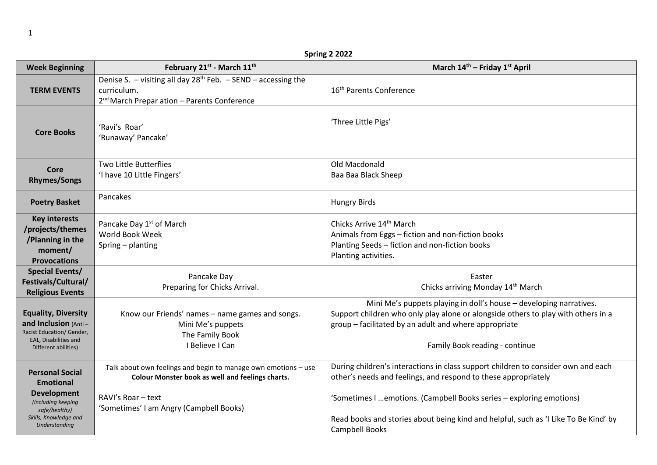| <b>Spring 2 2022</b>                                                                                                                              |                                                                                                                                                                                     |                                                                                                                                                                                                                                                                                                                                      |  |  |  |  |  |  |
|---------------------------------------------------------------------------------------------------------------------------------------------------|-------------------------------------------------------------------------------------------------------------------------------------------------------------------------------------|--------------------------------------------------------------------------------------------------------------------------------------------------------------------------------------------------------------------------------------------------------------------------------------------------------------------------------------|--|--|--|--|--|--|
| <b>Week Beginning</b>                                                                                                                             | February 21st - March 11th                                                                                                                                                          | March 14th - Friday 1st April                                                                                                                                                                                                                                                                                                        |  |  |  |  |  |  |
| <b>TERM EVENTS</b>                                                                                                                                | Denise S. $-$ visiting all day 28 <sup>th</sup> Feb. $-$ SEND $-$ accessing the<br>curriculum.<br>2 <sup>nd</sup> March Prepar ation - Parents Conference                           | 16 <sup>th</sup> Parents Conference                                                                                                                                                                                                                                                                                                  |  |  |  |  |  |  |
| <b>Core Books</b>                                                                                                                                 | 'Ravi's Roar'<br>'Runaway' Pancake'                                                                                                                                                 | 'Three Little Pigs'                                                                                                                                                                                                                                                                                                                  |  |  |  |  |  |  |
| Core<br><b>Rhymes/Songs</b>                                                                                                                       | <b>Two Little Butterflies</b><br>'I have 10 Little Fingers'                                                                                                                         | Old Macdonald<br>Baa Baa Black Sheep                                                                                                                                                                                                                                                                                                 |  |  |  |  |  |  |
| <b>Poetry Basket</b>                                                                                                                              | Pancakes                                                                                                                                                                            | <b>Hungry Birds</b>                                                                                                                                                                                                                                                                                                                  |  |  |  |  |  |  |
| <b>Key interests</b><br>/projects/themes<br>/Planning in the<br>moment/<br><b>Provocations</b>                                                    | Pancake Day 1 <sup>st</sup> of March<br>World Book Week<br>Spring - planting                                                                                                        | Chicks Arrive 14th March<br>Animals from Eggs - fiction and non-fiction books<br>Planting Seeds - fiction and non-fiction books<br>Planting activities.                                                                                                                                                                              |  |  |  |  |  |  |
| <b>Special Events/</b><br>Festivals/Cultural/<br><b>Religious Events</b>                                                                          | Pancake Day<br>Preparing for Chicks Arrival.                                                                                                                                        | Easter<br>Chicks arriving Monday 14 <sup>th</sup> March                                                                                                                                                                                                                                                                              |  |  |  |  |  |  |
| <b>Equality, Diversity</b><br>and Inclusion (Anti-<br>Racist Education/ Gender,<br>EAL, Disabilities and<br>Different abilities)                  | Know our Friends' names - name games and songs.<br>Mini Me's puppets<br>The Family Book<br>I Believe I Can                                                                          | Mini Me's puppets playing in doll's house - developing narratives.<br>Support children who only play alone or alongside others to play with others in a<br>group - facilitated by an adult and where appropriate<br>Family Book reading - continue                                                                                   |  |  |  |  |  |  |
| <b>Personal Social</b><br><b>Emotional</b><br><b>Development</b><br>(including keeping<br>safe/healthy)<br>Skills, Knowledge and<br>Understanding | Talk about own feelings and begin to manage own emotions - use<br>Colour Monster book as well and feelings charts.<br>RAVI's Roar - text<br>'Sometimes' I am Angry (Campbell Books) | During children's interactions in class support children to consider own and each<br>other's needs and feelings, and respond to these appropriately<br>'Sometimes I  emotions. (Campbell Books series - exploring emotions)<br>Read books and stories about being kind and helpful, such as 'I Like To Be Kind' by<br>Campbell Books |  |  |  |  |  |  |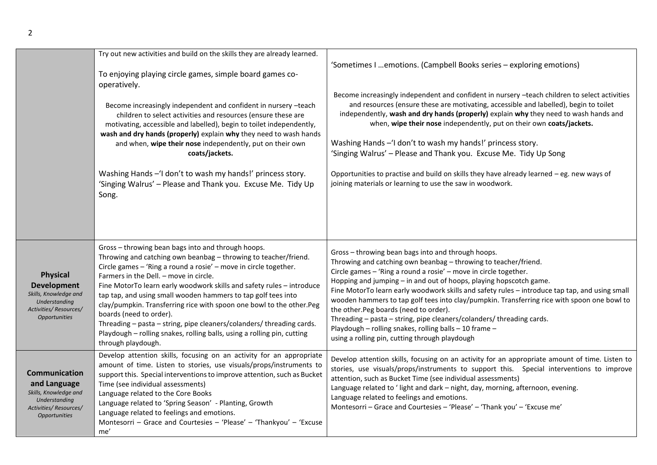|                                                                                                                                  | Try out new activities and build on the skills they are already learned.<br>To enjoying playing circle games, simple board games co-<br>operatively.<br>Become increasingly independent and confident in nursery -teach<br>children to select activities and resources (ensure these are<br>motivating, accessible and labelled), begin to toilet independently,<br>wash and dry hands (properly) explain why they need to wash hands<br>and when, wipe their nose independently, put on their own<br>coats/jackets.<br>Washing Hands - 'I don't to wash my hands!' princess story.<br>'Singing Walrus' - Please and Thank you. Excuse Me. Tidy Up<br>Song. | 'Sometimes I  emotions. (Campbell Books series - exploring emotions)<br>Become increasingly independent and confident in nursery -teach children to select activities<br>and resources (ensure these are motivating, accessible and labelled), begin to toilet<br>independently, wash and dry hands (properly) explain why they need to wash hands and<br>when, wipe their nose independently, put on their own coats/jackets.<br>Washing Hands - 'I don't to wash my hands!' princess story.<br>'Singing Walrus' - Please and Thank you. Excuse Me. Tidy Up Song<br>Opportunities to practise and build on skills they have already learned - eg. new ways of<br>joining materials or learning to use the saw in woodwork. |
|----------------------------------------------------------------------------------------------------------------------------------|-------------------------------------------------------------------------------------------------------------------------------------------------------------------------------------------------------------------------------------------------------------------------------------------------------------------------------------------------------------------------------------------------------------------------------------------------------------------------------------------------------------------------------------------------------------------------------------------------------------------------------------------------------------|-----------------------------------------------------------------------------------------------------------------------------------------------------------------------------------------------------------------------------------------------------------------------------------------------------------------------------------------------------------------------------------------------------------------------------------------------------------------------------------------------------------------------------------------------------------------------------------------------------------------------------------------------------------------------------------------------------------------------------|
| <b>Physical</b><br><b>Development</b><br>Skills, Knowledge and<br>Understanding<br>Activities/Resources/<br><b>Opportunities</b> | Gross - throwing bean bags into and through hoops.<br>Throwing and catching own beanbag - throwing to teacher/friend.<br>Circle games - 'Ring a round a rosie' - move in circle together.<br>Farmers in the Dell. - move in circle.<br>Fine MotorTo learn early woodwork skills and safety rules - introduce<br>tap tap, and using small wooden hammers to tap golf tees into<br>clay/pumpkin. Transferring rice with spoon one bowl to the other.Peg<br>boards (need to order).<br>Threading - pasta - string, pipe cleaners/colanders/threading cards.<br>Playdough - rolling snakes, rolling balls, using a rolling pin, cutting<br>through playdough.   | Gross - throwing bean bags into and through hoops.<br>Throwing and catching own beanbag - throwing to teacher/friend.<br>Circle games - 'Ring a round a rosie' - move in circle together.<br>Hopping and jumping - in and out of hoops, playing hopscotch game.<br>Fine MotorTo learn early woodwork skills and safety rules - introduce tap tap, and using small<br>wooden hammers to tap golf tees into clay/pumpkin. Transferring rice with spoon one bowl to<br>the other. Peg boards (need to order).<br>Threading - pasta - string, pipe cleaners/colanders/ threading cards.<br>Playdough - rolling snakes, rolling balls - 10 frame -<br>using a rolling pin, cutting through playdough                             |
| <b>Communication</b><br>and Language<br>Skills, Knowledge and<br>Understanding<br>Activities/Resources/<br><b>Opportunities</b>  | Develop attention skills, focusing on an activity for an appropriate<br>amount of time. Listen to stories, use visuals/props/instruments to<br>support this. Special interventions to improve attention, such as Bucket<br>Time (see individual assessments)<br>Language related to the Core Books<br>Language related to 'Spring Season' - Planting, Growth<br>Language related to feelings and emotions.<br>Montesorri - Grace and Courtesies - 'Please' - 'Thankyou' - 'Excuse<br>me'                                                                                                                                                                    | Develop attention skills, focusing on an activity for an appropriate amount of time. Listen to<br>stories, use visuals/props/instruments to support this. Special interventions to improve<br>attention, such as Bucket Time (see individual assessments)<br>Language related to 'light and dark - night, day, morning, afternoon, evening.<br>Language related to feelings and emotions.<br>Montesorri - Grace and Courtesies - 'Please' - 'Thank you' - 'Excuse me'                                                                                                                                                                                                                                                       |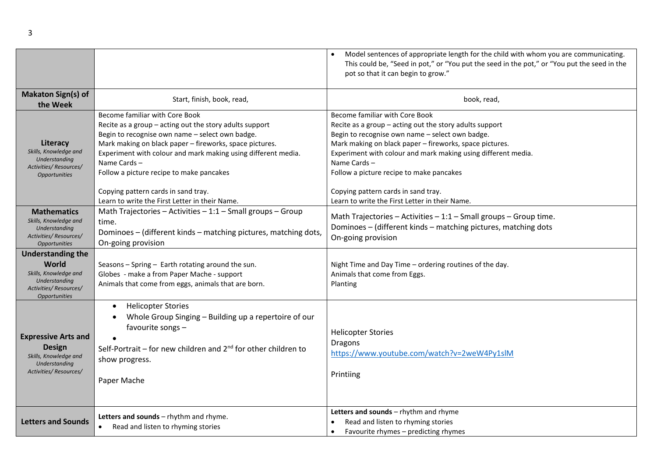|                                                                                                                              |                                                                                                                                                                                                                                                                                                                                                                                                                                | Model sentences of appropriate length for the child with whom you are communicating.<br>This could be, "Seed in pot," or "You put the seed in the pot," or "You put the seed in the<br>pot so that it can begin to grow."                                                                                                                                                                                                      |  |  |  |  |
|------------------------------------------------------------------------------------------------------------------------------|--------------------------------------------------------------------------------------------------------------------------------------------------------------------------------------------------------------------------------------------------------------------------------------------------------------------------------------------------------------------------------------------------------------------------------|--------------------------------------------------------------------------------------------------------------------------------------------------------------------------------------------------------------------------------------------------------------------------------------------------------------------------------------------------------------------------------------------------------------------------------|--|--|--|--|
| <b>Makaton Sign(s) of</b><br>the Week                                                                                        | Start, finish, book, read,                                                                                                                                                                                                                                                                                                                                                                                                     | book, read,                                                                                                                                                                                                                                                                                                                                                                                                                    |  |  |  |  |
| Literacy<br>Skills, Knowledge and<br>Understanding<br>Activities/Resources/<br><b>Opportunities</b>                          | Become familiar with Core Book<br>Recite as a group $-$ acting out the story adults support<br>Begin to recognise own name - select own badge.<br>Mark making on black paper - fireworks, space pictures.<br>Experiment with colour and mark making using different media.<br>Name Cards-<br>Follow a picture recipe to make pancakes<br>Copying pattern cards in sand tray.<br>Learn to write the First Letter in their Name. | Become familiar with Core Book<br>Recite as a group $-$ acting out the story adults support<br>Begin to recognise own name - select own badge.<br>Mark making on black paper - fireworks, space pictures.<br>Experiment with colour and mark making using different media.<br>Name Cards-<br>Follow a picture recipe to make pancakes<br>Copying pattern cards in sand tray.<br>Learn to write the First Letter in their Name. |  |  |  |  |
| <b>Mathematics</b><br>Skills, Knowledge and<br>Understanding<br>Activities/Resources/<br><b>Opportunities</b>                | Math Trajectories - Activities $-1:1$ - Small groups - Group<br>time.<br>Dominoes - (different kinds - matching pictures, matching dots,<br>On-going provision                                                                                                                                                                                                                                                                 | Math Trajectories - Activities - 1:1 - Small groups - Group time.<br>Dominoes - (different kinds - matching pictures, matching dots<br>On-going provision                                                                                                                                                                                                                                                                      |  |  |  |  |
| <b>Understanding the</b><br>World<br>Skills, Knowledge and<br>Understanding<br>Activities/Resources/<br><b>Opportunities</b> | Seasons - Spring - Earth rotating around the sun.<br>Globes - make a from Paper Mache - support<br>Animals that come from eggs, animals that are born.                                                                                                                                                                                                                                                                         | Night Time and Day Time - ordering routines of the day.<br>Animals that come from Eggs.<br>Planting                                                                                                                                                                                                                                                                                                                            |  |  |  |  |
| <b>Expressive Arts and</b><br><b>Design</b><br>Skills, Knowledge and<br>Understanding<br>Activities/Resources/               | <b>Helicopter Stories</b><br>Whole Group Singing - Building up a repertoire of our<br>favourite songs -<br>Self-Portrait – for new children and $2^{nd}$ for other children to<br>show progress.<br>Paper Mache                                                                                                                                                                                                                | <b>Helicopter Stories</b><br><b>Dragons</b><br>https://www.youtube.com/watch?v=2weW4Py1slM<br>Printiing                                                                                                                                                                                                                                                                                                                        |  |  |  |  |
| <b>Letters and Sounds</b>                                                                                                    | Letters and sounds - rhythm and rhyme.<br>Read and listen to rhyming stories                                                                                                                                                                                                                                                                                                                                                   | Letters and sounds - rhythm and rhyme<br>Read and listen to rhyming stories<br>Favourite rhymes - predicting rhymes<br>$\bullet$                                                                                                                                                                                                                                                                                               |  |  |  |  |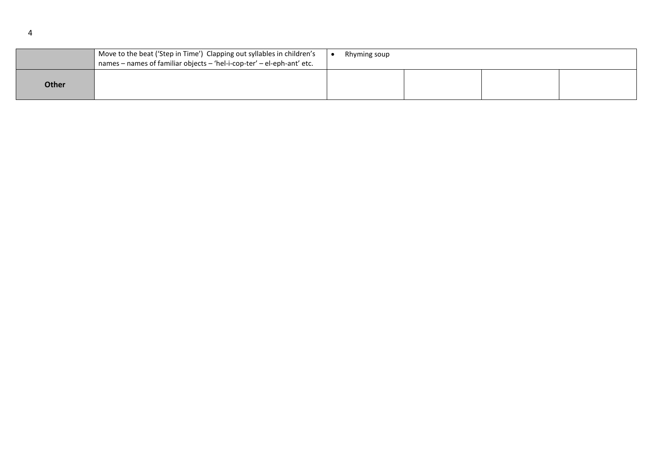|              | Move to the beat ('Step in Time') Clapping out syllables in children's<br>names - names of familiar objects - 'hel-i-cop-ter' - el-eph-ant' etc. | Rhyming soup |  |  |  |  |
|--------------|--------------------------------------------------------------------------------------------------------------------------------------------------|--------------|--|--|--|--|
| <b>Other</b> |                                                                                                                                                  |              |  |  |  |  |